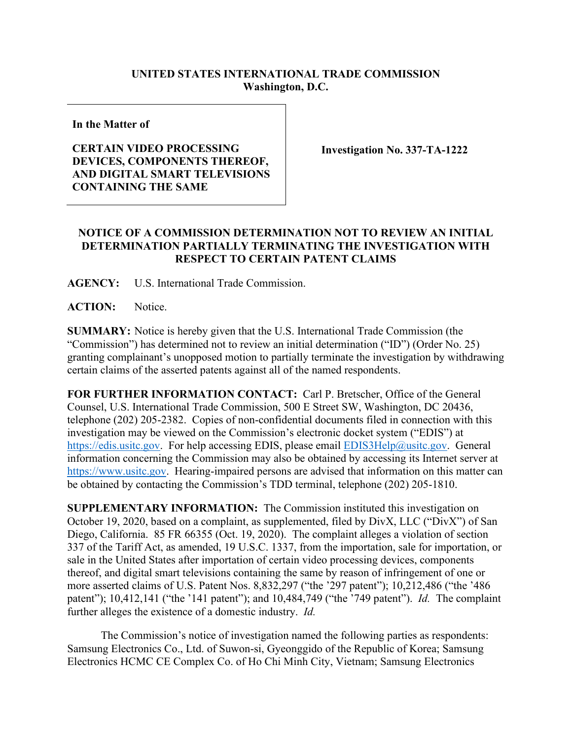## **UNITED STATES INTERNATIONAL TRADE COMMISSION Washington, D.C.**

**In the Matter of**

## **CERTAIN VIDEO PROCESSING DEVICES, COMPONENTS THEREOF, AND DIGITAL SMART TELEVISIONS CONTAINING THE SAME**

**Investigation No. 337-TA-1222**

## **NOTICE OF A COMMISSION DETERMINATION NOT TO REVIEW AN INITIAL DETERMINATION PARTIALLY TERMINATING THE INVESTIGATION WITH RESPECT TO CERTAIN PATENT CLAIMS**

**AGENCY:** U.S. International Trade Commission.

ACTION: Notice.

**SUMMARY:** Notice is hereby given that the U.S. International Trade Commission (the "Commission") has determined not to review an initial determination ("ID") (Order No. 25) granting complainant's unopposed motion to partially terminate the investigation by withdrawing certain claims of the asserted patents against all of the named respondents.

**FOR FURTHER INFORMATION CONTACT:** Carl P. Bretscher, Office of the General Counsel, U.S. International Trade Commission, 500 E Street SW, Washington, DC 20436, telephone (202) 205-2382. Copies of non-confidential documents filed in connection with this investigation may be viewed on the Commission's electronic docket system ("EDIS") at [https://edis.usitc.gov.](https://edis.usitc.gov/) For help accessing EDIS, please email [EDIS3Help@usitc.gov.](mailto:EDIS3Help@usitc.gov) General information concerning the Commission may also be obtained by accessing its Internet server at [https://www.usitc.gov.](https://www.usitc.gov/) Hearing-impaired persons are advised that information on this matter can be obtained by contacting the Commission's TDD terminal, telephone (202) 205-1810.

**SUPPLEMENTARY INFORMATION:** The Commission instituted this investigation on October 19, 2020, based on a complaint, as supplemented, filed by DivX, LLC ("DivX") of San Diego, California. 85 FR 66355 (Oct. 19, 2020). The complaint alleges a violation of section 337 of the Tariff Act, as amended, 19 U.S.C. 1337, from the importation, sale for importation, or sale in the United States after importation of certain video processing devices, components thereof, and digital smart televisions containing the same by reason of infringement of one or more asserted claims of U.S. Patent Nos. 8,832,297 ("the '297 patent"); 10,212,486 ("the '486 patent"); 10,412,141 ("the '141 patent"); and 10,484,749 ("the '749 patent"). *Id.* The complaint further alleges the existence of a domestic industry. *Id.*

The Commission's notice of investigation named the following parties as respondents: Samsung Electronics Co., Ltd. of Suwon-si, Gyeonggido of the Republic of Korea; Samsung Electronics HCMC CE Complex Co. of Ho Chi Minh City, Vietnam; Samsung Electronics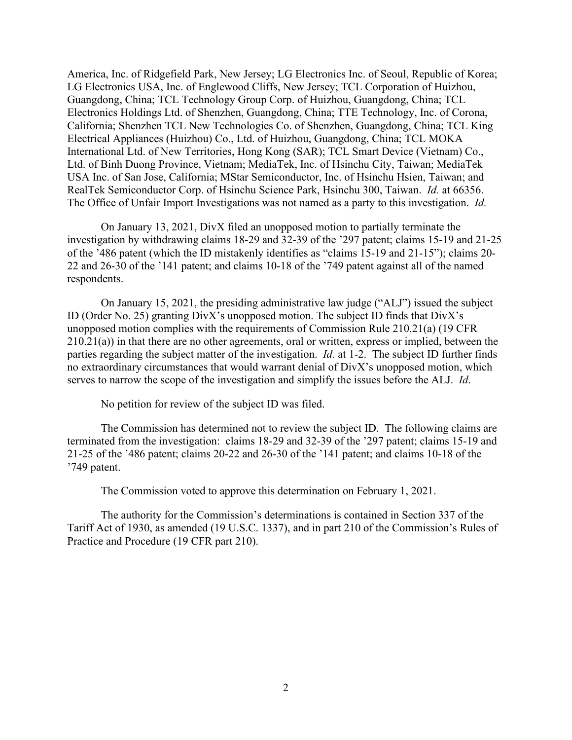America, Inc. of Ridgefield Park, New Jersey; LG Electronics Inc. of Seoul, Republic of Korea; LG Electronics USA, Inc. of Englewood Cliffs, New Jersey; TCL Corporation of Huizhou, Guangdong, China; TCL Technology Group Corp. of Huizhou, Guangdong, China; TCL Electronics Holdings Ltd. of Shenzhen, Guangdong, China; TTE Technology, Inc. of Corona, California; Shenzhen TCL New Technologies Co. of Shenzhen, Guangdong, China; TCL King Electrical Appliances (Huizhou) Co., Ltd. of Huizhou, Guangdong, China; TCL MOKA International Ltd. of New Territories, Hong Kong (SAR); TCL Smart Device (Vietnam) Co., Ltd. of Binh Duong Province, Vietnam; MediaTek, Inc. of Hsinchu City, Taiwan; MediaTek USA Inc. of San Jose, California; MStar Semiconductor, Inc. of Hsinchu Hsien, Taiwan; and RealTek Semiconductor Corp. of Hsinchu Science Park, Hsinchu 300, Taiwan. *Id.* at 66356. The Office of Unfair Import Investigations was not named as a party to this investigation. *Id.*

On January 13, 2021, DivX filed an unopposed motion to partially terminate the investigation by withdrawing claims 18-29 and 32-39 of the '297 patent; claims 15-19 and 21-25 of the '486 patent (which the ID mistakenly identifies as "claims 15-19 and 21-15"); claims 20- 22 and 26-30 of the '141 patent; and claims 10-18 of the '749 patent against all of the named respondents.

On January 15, 2021, the presiding administrative law judge ("ALJ") issued the subject ID (Order No. 25) granting DivX's unopposed motion. The subject ID finds that DivX's unopposed motion complies with the requirements of Commission Rule 210.21(a) (19 CFR  $210.21(a)$ ) in that there are no other agreements, oral or written, express or implied, between the parties regarding the subject matter of the investigation. *Id*. at 1-2. The subject ID further finds no extraordinary circumstances that would warrant denial of DivX's unopposed motion, which serves to narrow the scope of the investigation and simplify the issues before the ALJ. *Id*.

No petition for review of the subject ID was filed.

The Commission has determined not to review the subject ID. The following claims are terminated from the investigation: claims 18-29 and 32-39 of the '297 patent; claims 15-19 and 21-25 of the '486 patent; claims 20-22 and 26-30 of the '141 patent; and claims 10-18 of the '749 patent.

The Commission voted to approve this determination on February 1, 2021.

The authority for the Commission's determinations is contained in Section 337 of the Tariff Act of 1930, as amended (19 U.S.C. 1337), and in part 210 of the Commission's Rules of Practice and Procedure (19 CFR part 210).